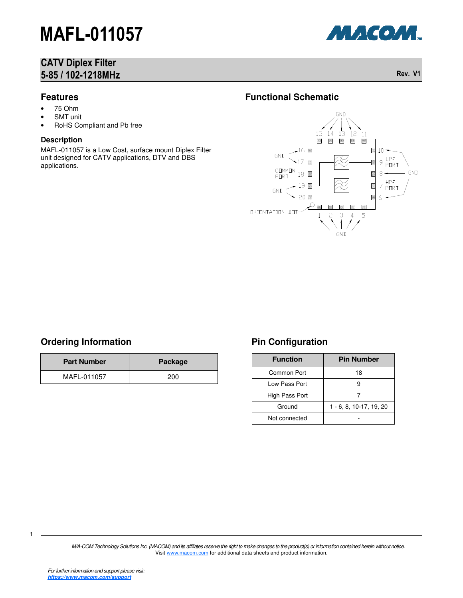## CATV Diplex Filter 5-85 / 102-1218MHz Rev. V1



#### **Features**

- 75 Ohm
- **SMT** unit
- RoHS Compliant and Pb free

#### **Description**

MAFL-011057 is a Low Cost, surface mount Diplex Filter unit designed for CATV applications, DTV and DBS applications.

### **Functional Schematic**



## **Ordering Information**

| <b>Part Number</b> | Package |
|--------------------|---------|
| MAFL-011057        | 200     |

## **Pin Configuration**

| <b>Function</b> | <b>Pin Number</b>           |  |  |
|-----------------|-----------------------------|--|--|
| Common Port     | 18                          |  |  |
| Low Pass Port   | 9                           |  |  |
| High Pass Port  |                             |  |  |
| Ground          | $1 - 6, 8, 10 - 17, 19, 20$ |  |  |
| Not connected   |                             |  |  |

M/A-COM Technology Solutions Inc. (MACOM) and its affiliates reserve the right to make changes to the product(s) or information contained herein without notice. Visit www.macom.com for additional data sheets and product information.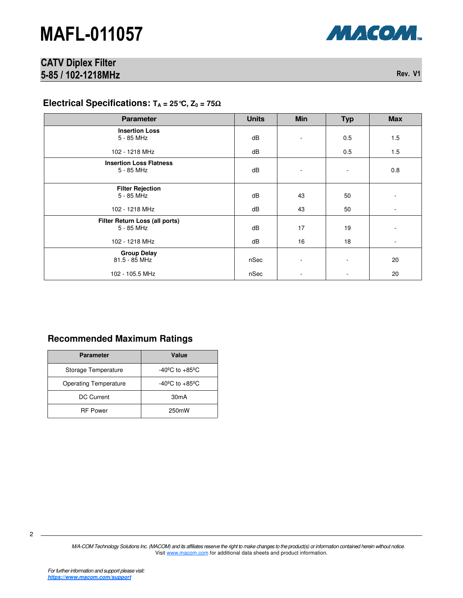

## CATV Diplex Filter 5-85 / 102-1218MHz Rev. V1

### **Electrical Specifications: TA = 25°C, Z0 = 75**Ω

| <b>Parameter</b>                             | <b>Units</b> | <b>Min</b> | <b>Typ</b> | <b>Max</b>               |
|----------------------------------------------|--------------|------------|------------|--------------------------|
| <b>Insertion Loss</b><br>5 - 85 MHz          | dB           | ٠          | 0.5        | 1.5                      |
| 102 - 1218 MHz                               | dB           |            | 0.5        | 1.5                      |
| <b>Insertion Loss Flatness</b><br>5 - 85 MHz | dB           |            |            | 0.8                      |
| <b>Filter Rejection</b><br>5 - 85 MHz        | dB           | 43         | 50         | -                        |
| 102 - 1218 MHz                               | dB           | 43         | 50         | $\overline{\phantom{a}}$ |
| Filter Return Loss (all ports)<br>5 - 85 MHz | dB           | 17         | 19         |                          |
| 102 - 1218 MHz                               | dB           | 16         | 18         | $\blacksquare$           |
| <b>Group Delay</b><br>81.5 - 85 MHz          | nSec         |            |            | 20                       |
| 102 - 105.5 MHz                              | nSec         |            |            | 20                       |

#### **Recommended Maximum Ratings**

| <b>Parameter</b>             | Value                              |  |
|------------------------------|------------------------------------|--|
| Storage Temperature          | $-40^{\circ}$ C to $+85^{\circ}$ C |  |
| <b>Operating Temperature</b> | $-40^{\circ}$ C to $+85^{\circ}$ C |  |
| DC Current                   | 30mA                               |  |
| <b>RF Power</b>              | 250mW                              |  |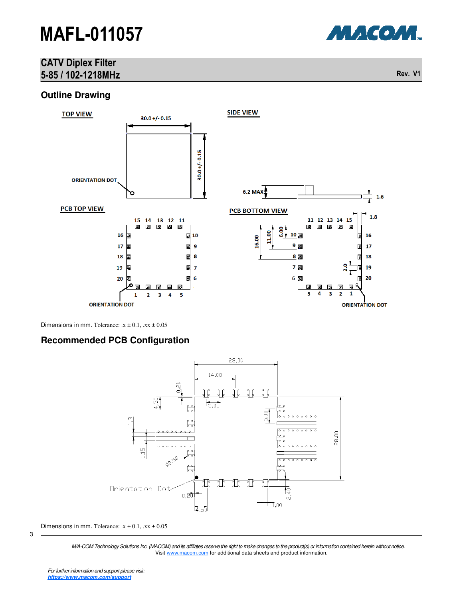## CATV Diplex Filter 5-85 / 102-1218MHz Rev. V1

#### **Outline Drawing**



Dimensions in mm. Tolerance:  $x \pm 0.1$ ,  $xx \pm 0.05$ 

#### **Recommended PCB Configuration**



Dimensions in mm. Tolerance:  $x \pm 0.1$ ,  $xx \pm 0.05$ 

M/A-COM Technology Solutions Inc. (MACOM) and its affiliates reserve the right to make changes to the product(s) or information contained herein without notice. Visit www.macom.com for additional data sheets and product information.



3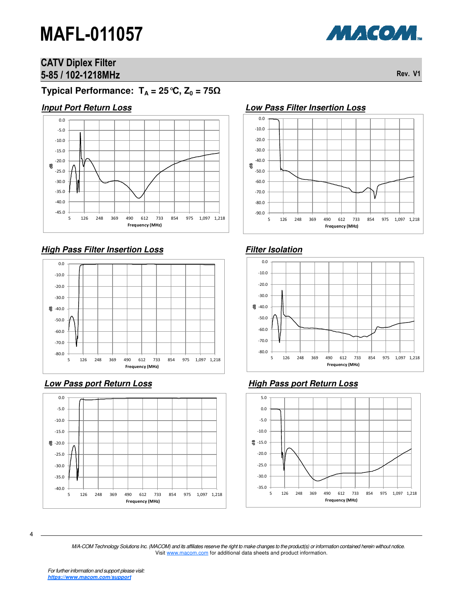

## CATV Diplex Filter 5-85 / 102-1218MHz Rev. V1

**Typical Performance:**  $T_A = 25 \degree C$ ,  $Z_0 = 75 \Omega$ 

#### **Input Port Return Loss**



## **High Pass Filter Insertion Loss**



### **Low Pass port Return Loss**





#### **Low Pass Filter Insertion Loss**

## **Filter Isolation**



## **High Pass port Return Loss**



4

M/A-COM Technology Solutions Inc. (MACOM) and its affiliates reserve the right to make changes to the product(s) or information contained herein without notice. Visit www.macom.com for additional data sheets and product information.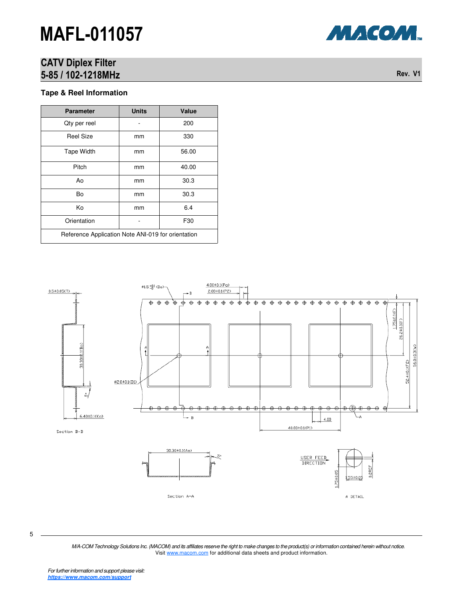## CATV Diplex Filter 5-85 / 102-1218MHz Rev. V1

#### **Tape & Reel Information**

| <b>Parameter</b>                                   | <b>Units</b> | Value |  |  |
|----------------------------------------------------|--------------|-------|--|--|
| Qty per reel                                       |              | 200   |  |  |
| <b>Reel Size</b>                                   | mm           | 330   |  |  |
| <b>Tape Width</b>                                  | mm           | 56.00 |  |  |
| Pitch                                              | mm           | 40.00 |  |  |
| Ao                                                 | mm           | 30.3  |  |  |
| Bo                                                 | mm           | 30.3  |  |  |
| Κo                                                 | mm           | 6.4   |  |  |
| Orientation                                        |              | F30   |  |  |
| Reference Application Note ANI-019 for orientation |              |       |  |  |

 $4.00 \pm 0.1$ (Po)  $\varnothing1.5\ ^{+0.1}_{-0}\verb!$  $0.5 \pm 0.05$ (T) 2.00±0.1(P2)  $\overline{\phantom{0}} \begin{array}{l} \color{red}{\uparrow} \color{red}{\uparrow} \color{black} \color{blue}{\uparrow} \color{blue}{\uparrow} \color{blue}{\uparrow} \color{blue}{\uparrow} \color{blue}{\uparrow} \color{blue}{\uparrow} \color{blue}{\uparrow} \color{blue}{\uparrow} \color{blue}{\uparrow} \color{blue}{\uparrow} \color{blue}{\uparrow} \color{blue}{\uparrow} \color{blue}{\uparrow} \color{blue}{\uparrow} \color{blue}{\uparrow} \color{blue}{\uparrow} \color{blue}{\uparrow} \color{blue}{\uparrow} \color{blue}{\uparrow} \color{blue}{\uparrow} \$  $\overline{\oplus \oplus \oplus}$ л  $\overline{\mathbb{A}}$  $\Rightarrow$  $\overline{\mathbb{A}}$  $\overline{\bigoplus}$  $\overline{\mathbf{A}}$  $\overline{\phantom{0}}$   $\overline{\phantom{0}}$   $\overline{\phantom{0}}$   $\overline{\phantom{0}}$ 1.75±0.1(E) 26.2±0.1(F) 30.30±0.1(Bo) 56.0±0.3(W) 52.4±0.1(F2) Ø2.0±0.1(D1)  $\dot{b}_1$  $\theta$   $\theta$   $\theta$  $\oplus$ C.  $6.40 \pm 0.1$  (Ko)  $\div$  B  $4.00$ 40.00±0.1<P1> Section B-B 30.30±0.1(Ao) 5. USER FEED  $0.2$ REF  $.75 \pm 0.05$ 1,55±0.05 Section A-A A DETAIL

5

M/A-COM Technology Solutions Inc. (MACOM) and its affiliates reserve the right to make changes to the product(s) or information contained herein without notice. Visit www.macom.com for additional data sheets and product information.

МАСОМ.